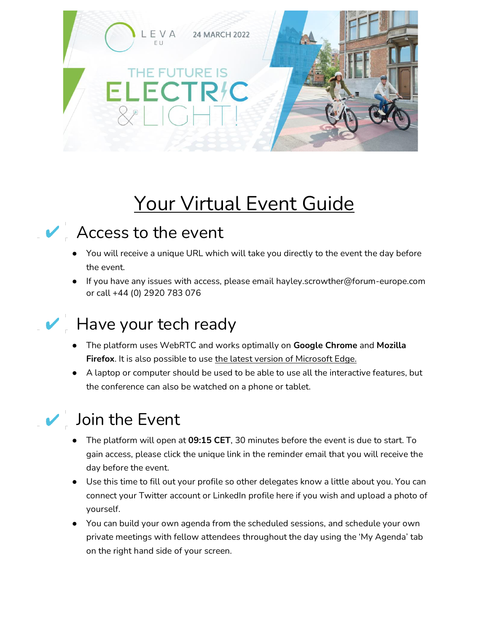

# Your Virtual Event Guide



#### Access to the event

- You will receive a unique URL which will take you directly to the event the day before the event.
- If you have any issues with access, please email hayley.scrowther@forum-europe.com or call +44 (0) 2920 783 076



#### Have your tech ready

- The platform uses WebRTC and works optimally on **Google Chrome** and **Mozilla**  Firefox. It is also possible to use the latest version of Microsoft Edge.
- A laptop or computer should be used to be able to use all the interactive features, but the conference can also be watched on a phone or tablet.



#### Join the Event

- The platform will open at **09:15 CET**, 30 minutes before the event is due to start. To gain access, please click the unique link in the reminder email that you will receive the day before the event.
- Use this time to fill out your profile so other delegates know a little about you. You can connect your Twitter account or LinkedIn profile here if you wish and upload a photo of yourself.
- You can build your own agenda from the scheduled sessions, and schedule your own private meetings with fellow attendees throughout the day using the 'My Agenda' tab on the right hand side of your screen.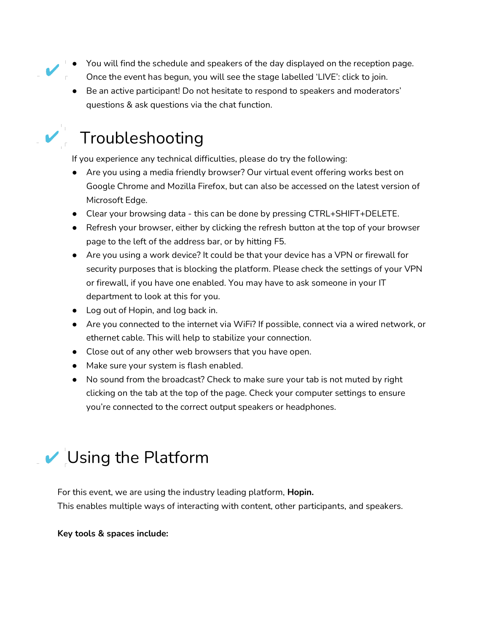- You will find the schedule and speakers of the day displayed on the reception page. Once the event has begun, you will see the stage labelled 'LIVE': click to join.
	- Be an active participant! Do not hesitate to respond to speakers and moderators' questions & ask questions via the chat function.



### Troubleshooting

If you experience any technical difficulties, please do try the following:

- Are you using a media friendly browser? Our virtual event offering works best on Google Chrome and Mozilla Firefox, but can also be accessed on the latest version of Microsoft Edge.
- Clear your browsing data this can be done by pressing CTRL+SHIFT+DELETE.
- Refresh your browser, either by clicking the refresh button at the top of your browser page to the left of the address bar, or by hitting F5.
- Are you using a work device? It could be that your device has a VPN or firewall for security purposes that is blocking the platform. Please check the settings of your VPN or firewall, if you have one enabled. You may have to ask someone in your IT department to look at this for you.
- Log out of Hopin, and log back in.
- Are you connected to the internet via WiFi? If possible, connect via a wired network, or ethernet cable. This will help to stabilize your connection.
- Close out of any other web browsers that you have open.
- Make sure your system is flash enabled.
- No sound from the broadcast? Check to make sure your tab is not muted by right clicking on the tab at the top of the page. Check your computer settings to ensure you're connected to the correct output speakers or headphones.

## Using the Platform

For this event, we are using the industry leading platform, **Hopin.** This enables multiple ways of interacting with content, other participants, and speakers.

**Key tools & spaces include:**